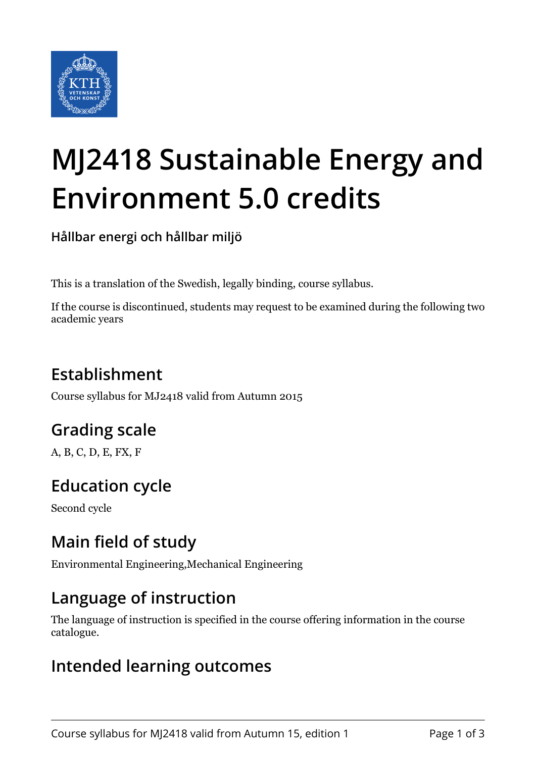

# **MJ2418 Sustainable Energy and Environment 5.0 credits**

**Hållbar energi och hållbar miljö**

This is a translation of the Swedish, legally binding, course syllabus.

If the course is discontinued, students may request to be examined during the following two academic years

# **Establishment**

Course syllabus for MJ2418 valid from Autumn 2015

# **Grading scale**

A, B, C, D, E, FX, F

# **Education cycle**

Second cycle

## **Main field of study**

Environmental Engineering,Mechanical Engineering

## **Language of instruction**

The language of instruction is specified in the course offering information in the course catalogue.

#### **Intended learning outcomes**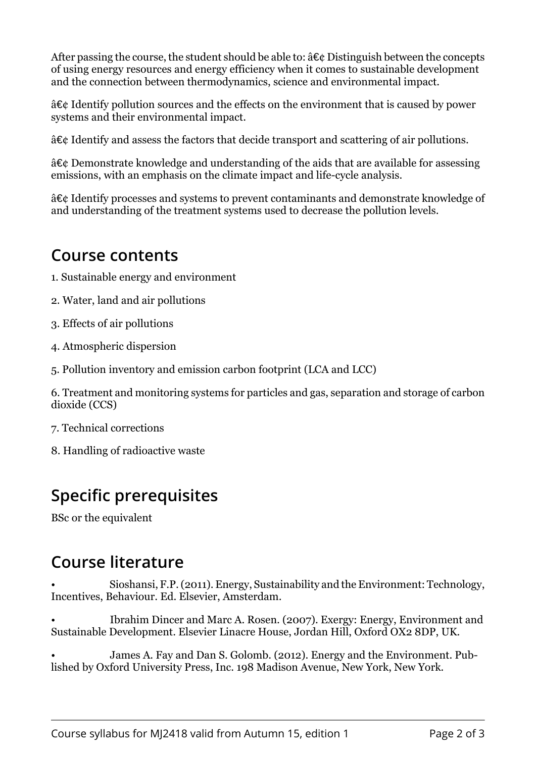After passing the course, the student should be able to:  $\hat{a} \in \mathcal{C}$  Distinguish between the concepts of using energy resources and energy efficiency when it comes to sustainable development and the connection between thermodynamics, science and environmental impact.

â€¢ Identify pollution sources and the effects on the environment that is caused by power systems and their environmental impact.

â€¢ Identify and assess the factors that decide transport and scattering of air pollutions.

â€¢ Demonstrate knowledge and understanding of the aids that are available for assessing emissions, with an emphasis on the climate impact and life-cycle analysis.

â€¢ Identify processes and systems to prevent contaminants and demonstrate knowledge of and understanding of the treatment systems used to decrease the pollution levels.

#### **Course contents**

- 1. Sustainable energy and environment
- 2. Water, land and air pollutions
- 3. Effects of air pollutions
- 4. Atmospheric dispersion
- 5. Pollution inventory and emission carbon footprint (LCA and LCC)

6. Treatment and monitoring systems for particles and gas, separation and storage of carbon dioxide (CCS)

- 7. Technical corrections
- 8. Handling of radioactive waste

## **Specific prerequisites**

BSc or the equivalent

#### **Course literature**

• Sioshansi, F.P. (2011). Energy, Sustainability and the Environment: Technology, Incentives, Behaviour. Ed. Elsevier, Amsterdam.

• Ibrahim Dincer and Marc A. Rosen. (2007). Exergy: Energy, Environment and Sustainable Development. Elsevier Linacre House, Jordan Hill, Oxford OX2 8DP, UK.

James A. Fay and Dan S. Golomb. (2012). Energy and the Environment. Published by Oxford University Press, Inc. 198 Madison Avenue, New York, New York.